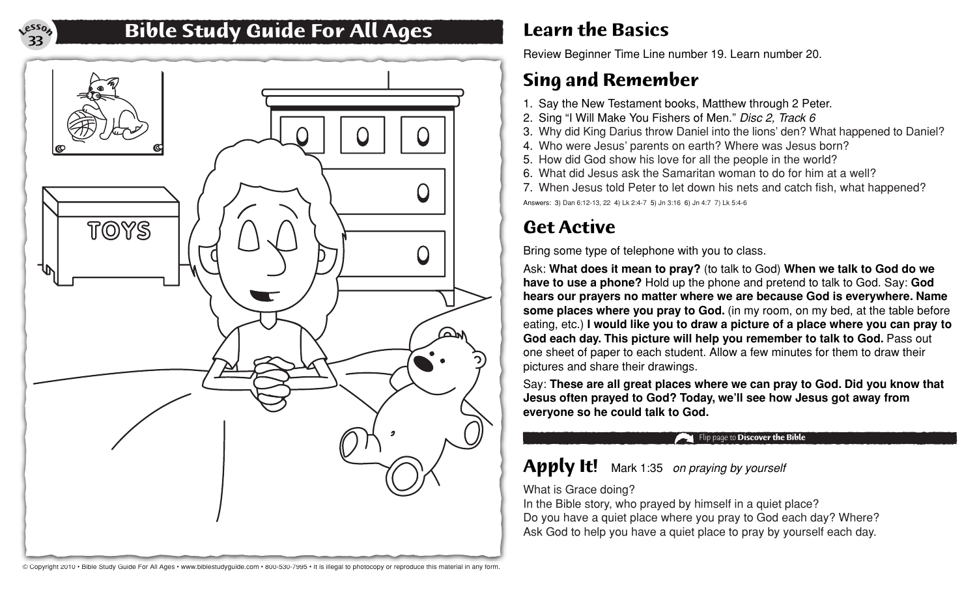

## **Bible Study Guide For All Ages Learn the Basics**



Review Beginner Time Line number 19. Learn number 20.

# **Sing and Remember**

- 1. Say the New Testament books, Matthew through 2 Peter.
- 2. Sing "I Will Make You Fishers of Men." *Disc 2, Track 6*
- 3. Why did King Darius throw Daniel into the lions' den? What happened to Daniel?
- 4. Who were Jesus' parents on earth? Where was Jesus born?
- 5. How did God show his love for all the people in the world?
- 6. What did Jesus ask the Samaritan woman to do for him at a well?
- 7. When Jesus told Peter to let down his nets and catch fish, what happened? Answers: 3) Dan 6:12-13, 22 4) Lk 2:4-7 5) Jn 3:16 6) Jn 4:7 7) Lk 5:4-6

# **Get Active**

Bring some type of telephone with you to class.

Ask: **What does it mean to pray?** (to talk to God) **When we talk to God do we have to use a phone?** Hold up the phone and pretend to talk to God. Say: **God hears our prayers no matter where we are because God is everywhere. Name some places where you pray to God.** (in my room, on my bed, at the table before eating, etc.) **I would like you to draw a picture of a place where you can pray to**  God each day. This picture will help you remember to talk to God. Pass out one sheet of paper to each student. Allow a few minutes for them to draw their pictures and share their drawings.

Say: **These are all great places where we can pray to God. Did you know that Jesus often prayed to God? Today, we'll see how Jesus got away from everyone so he could talk to God.**

### Flip page to **Discover the Bible**

### **Apply It!** Mark 1:35 *on praying by yourself*

What is Grace doing?

In the Bible story, who prayed by himself in a quiet place? Do you have a quiet place where you pray to God each day? Where? Ask God to help you have a quiet place to pray by yourself each day.

© Copyright 2010 • Bible Study Guide For All Ages • www.biblestudyguide.com • 800-530-7995 • It is illegal to photocopy or reproduce this material in any form.